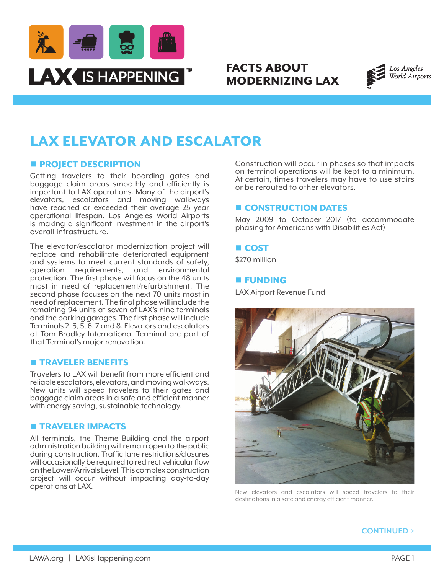

# FACTS ABOUT MODERNIZING LAX



# LAX ELEVATOR AND ESCALATOR

# **n** PROJECT DESCRIPTION

Getting travelers to their boarding gates and baggage claim areas smoothly and efficiently is important to LAX operations. Many of the airport's elevators, escalators and moving walkways have reached or exceeded their average 25 year operational lifespan. Los Angeles World Airports is making a significant investment in the airport's overall infrastructure.

The elevator/escalator modernization project will replace and rehabilitate deteriorated equipment and systems to meet current standards of safety, operation requirements, and environmental protection. The first phase will focus on the 48 units most in need of replacement/refurbishment. The second phase focuses on the next 70 units most in need of replacement. The final phase will include the remaining 94 units at seven of LAX's nine terminals and the parking garages. The first phase will include Terminals 2, 3, 5, 6, 7 and 8. Elevators and escalators at Tom Bradley International Terminal are part of that Terminal's major renovation.

## **n** TRAVELER BENEFITS

Travelers to LAX will benefit from more efficient and reliable escalators, elevators, and moving walkways. New units will speed travelers to their gates and baggage claim areas in a safe and efficient manner with energy saving, sustainable technology.

## **n** TRAVELER IMPACTS

All terminals, the Theme Building and the airport administration building will remain open to the public during construction. Traffic lane restrictions/closures will occasionally be required to redirect vehicular flow on the Lower/Arrivals Level. This complex construction project will occur without impacting day-to-day operations at LAX.

Construction will occur in phases so that impacts on terminal operations will be kept to a minimum. At certain, times travelers may have to use stairs or be rerouted to other elevators.

# **E CONSTRUCTION DATES**

May 2009 to October 2017 (to accommodate phasing for Americans with Disabilities Act)

#### **n** COST

\$270 million

#### **E** FUNDING

LAX Airport Revenue Fund



New elevators and escalators will speed travelers to their destinations in a safe and energy efficient manner.

**CONTINUED >**